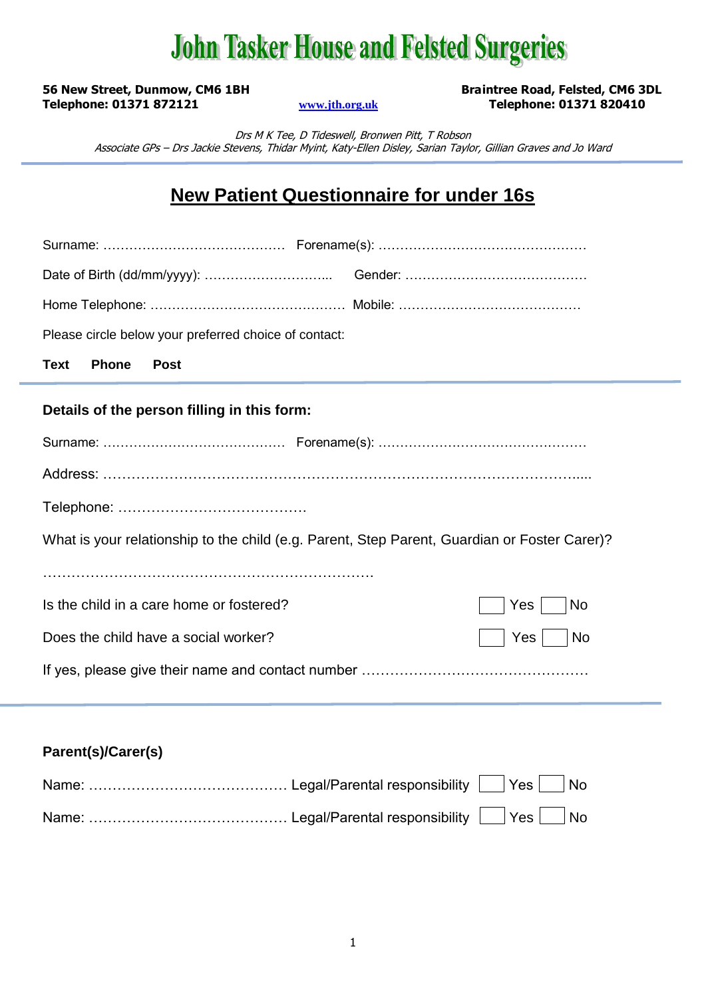## **John Tasker House and Felsted Surgeries**

**56 New Street, Dunmow, CM6 1BH Braintree Road, Felsted, CM6 3DL Telephone: 01371 872121 [www.jth.org.uk](http://www.jth.org.uk/) Telephone: 01371 820410**

Drs M K Tee, D Tideswell, Bronwen Pitt, T Robson Associate GPs – Drs Jackie Stevens, Thidar Myint, Katy-Ellen Disley, Sarian Taylor, Gillian Graves and Jo Ward

### **New Patient Questionnaire for under 16s**

| Please circle below your preferred choice of contact:                                        |  |  |  |  |
|----------------------------------------------------------------------------------------------|--|--|--|--|
| <b>Phone</b><br><b>Text</b><br><b>Post</b>                                                   |  |  |  |  |
| Details of the person filling in this form:                                                  |  |  |  |  |
|                                                                                              |  |  |  |  |
|                                                                                              |  |  |  |  |
|                                                                                              |  |  |  |  |
| What is your relationship to the child (e.g. Parent, Step Parent, Guardian or Foster Carer)? |  |  |  |  |
|                                                                                              |  |  |  |  |
| Is the child in a care home or fostered?<br>Yes<br><b>No</b>                                 |  |  |  |  |
| Does the child have a social worker?<br>Yes  <br><b>No</b>                                   |  |  |  |  |
|                                                                                              |  |  |  |  |
|                                                                                              |  |  |  |  |

**Parent(s)/Carer(s)**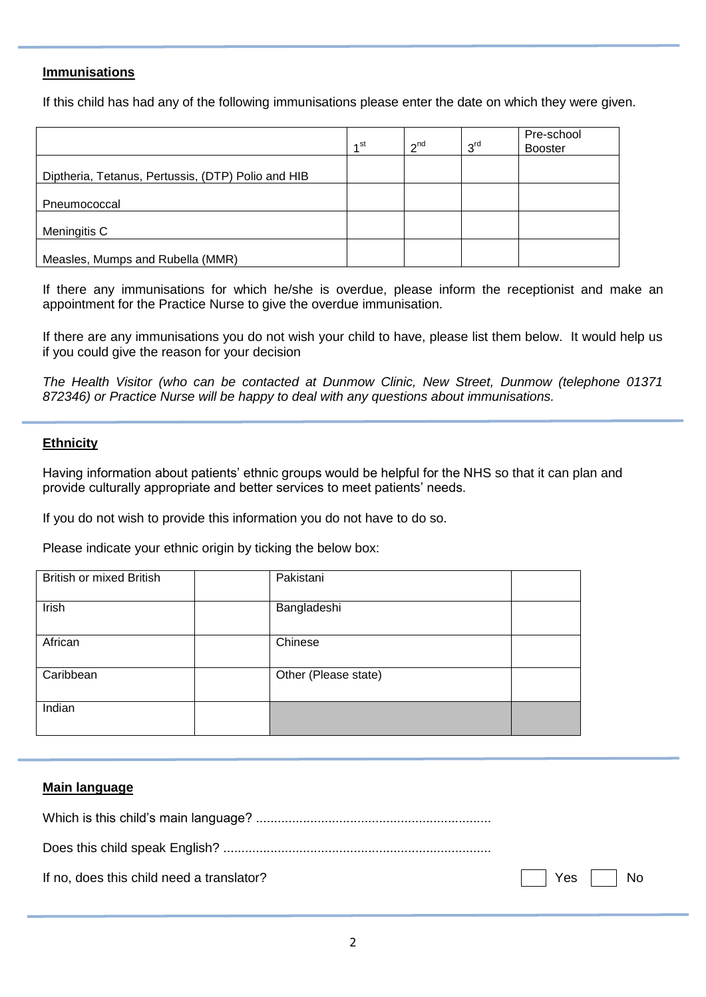### **Immunisations**

If this child has had any of the following immunisations please enter the date on which they were given.

|                                                    |                 |                 |                 | Pre-school     |
|----------------------------------------------------|-----------------|-----------------|-----------------|----------------|
|                                                    | 1 <sup>st</sup> | 2 <sup>nd</sup> | 3 <sup>rd</sup> | <b>Booster</b> |
|                                                    |                 |                 |                 |                |
| Diptheria, Tetanus, Pertussis, (DTP) Polio and HIB |                 |                 |                 |                |
|                                                    |                 |                 |                 |                |
| Pneumococcal                                       |                 |                 |                 |                |
|                                                    |                 |                 |                 |                |
| Meningitis C                                       |                 |                 |                 |                |
|                                                    |                 |                 |                 |                |
| Measles, Mumps and Rubella (MMR)                   |                 |                 |                 |                |

If there any immunisations for which he/she is overdue, please inform the receptionist and make an appointment for the Practice Nurse to give the overdue immunisation.

If there are any immunisations you do not wish your child to have, please list them below. It would help us if you could give the reason for your decision

*The Health Visitor (who can be contacted at Dunmow Clinic, New Street, Dunmow (telephone 01371 872346) or Practice Nurse will be happy to deal with any questions about immunisations.*

#### **Ethnicity**

Having information about patients' ethnic groups would be helpful for the NHS so that it can plan and provide culturally appropriate and better services to meet patients' needs.

If you do not wish to provide this information you do not have to do so.

Please indicate your ethnic origin by ticking the below box:

| <b>British or mixed British</b> | Pakistani            |  |
|---------------------------------|----------------------|--|
| Irish                           | Bangladeshi          |  |
| African                         | Chinese              |  |
| Caribbean                       | Other (Please state) |  |
| Indian                          |                      |  |

#### **Main language**

| If no, does this child need a translator? | $\Box$ Yes $\Box$ No |
|-------------------------------------------|----------------------|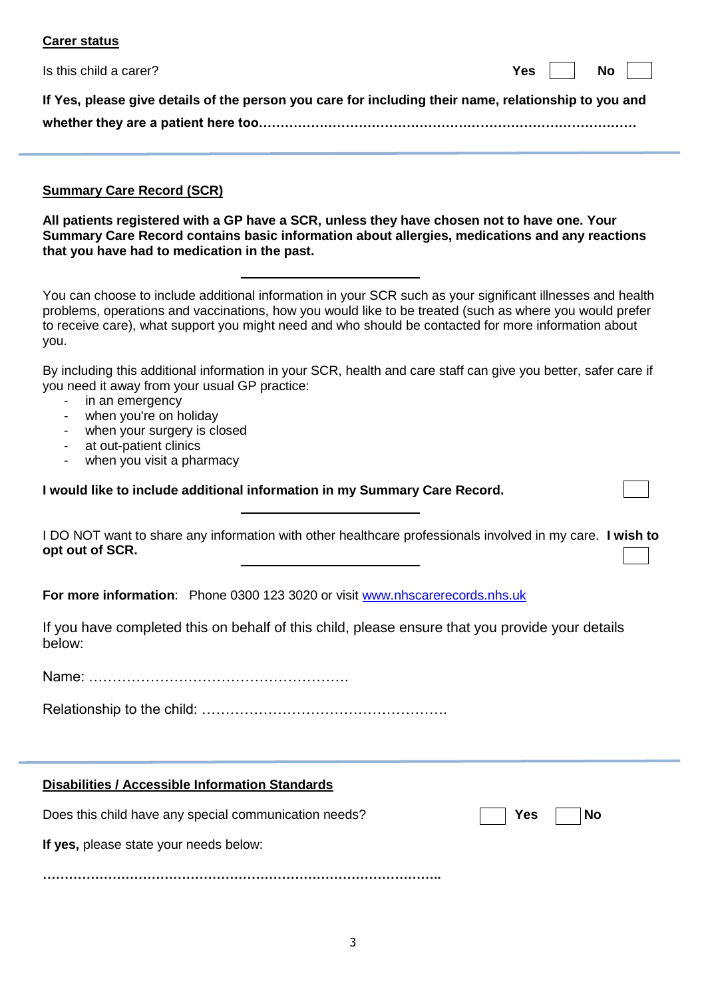| <b>Carer status</b>                                                                                                                                                                                                                                                                                                                   |  |  |  |  |
|---------------------------------------------------------------------------------------------------------------------------------------------------------------------------------------------------------------------------------------------------------------------------------------------------------------------------------------|--|--|--|--|
| Is this child a carer?<br><b>Yes</b><br><b>No</b>                                                                                                                                                                                                                                                                                     |  |  |  |  |
| If Yes, please give details of the person you care for including their name, relationship to you and                                                                                                                                                                                                                                  |  |  |  |  |
| <b>Summary Care Record (SCR)</b><br>All patients registered with a GP have a SCR, unless they have chosen not to have one. Your<br>Summary Care Record contains basic information about allergies, medications and any reactions<br>that you have had to medication in the past.                                                      |  |  |  |  |
| You can choose to include additional information in your SCR such as your significant illnesses and health<br>problems, operations and vaccinations, how you would like to be treated (such as where you would prefer<br>to receive care), what support you might need and who should be contacted for more information about<br>you. |  |  |  |  |
| By including this additional information in your SCR, health and care staff can give you better, safer care if<br>you need it away from your usual GP practice:<br>in an emergency<br>when you're on holiday<br>when your surgery is closed<br>at out-patient clinics<br>when you visit a pharmacy                                    |  |  |  |  |
| I would like to include additional information in my Summary Care Record.                                                                                                                                                                                                                                                             |  |  |  |  |
| I DO NOT want to share any information with other healthcare professionals involved in my care. I wish to<br>opt out of SCR.                                                                                                                                                                                                          |  |  |  |  |
| For more information: Phone 0300 123 3020 or visit www.nhscarerecords.nhs.uk                                                                                                                                                                                                                                                          |  |  |  |  |
| If you have completed this on behalf of this child, please ensure that you provide your details<br>below:                                                                                                                                                                                                                             |  |  |  |  |
|                                                                                                                                                                                                                                                                                                                                       |  |  |  |  |
|                                                                                                                                                                                                                                                                                                                                       |  |  |  |  |
|                                                                                                                                                                                                                                                                                                                                       |  |  |  |  |
| Disabilities / Accessible Information Standards                                                                                                                                                                                                                                                                                       |  |  |  |  |

Does this child have any special communication needs? **The State of August 2015** Yes **No** 

**………………………………………………………………………………..**

**If yes,** please state your needs below:

3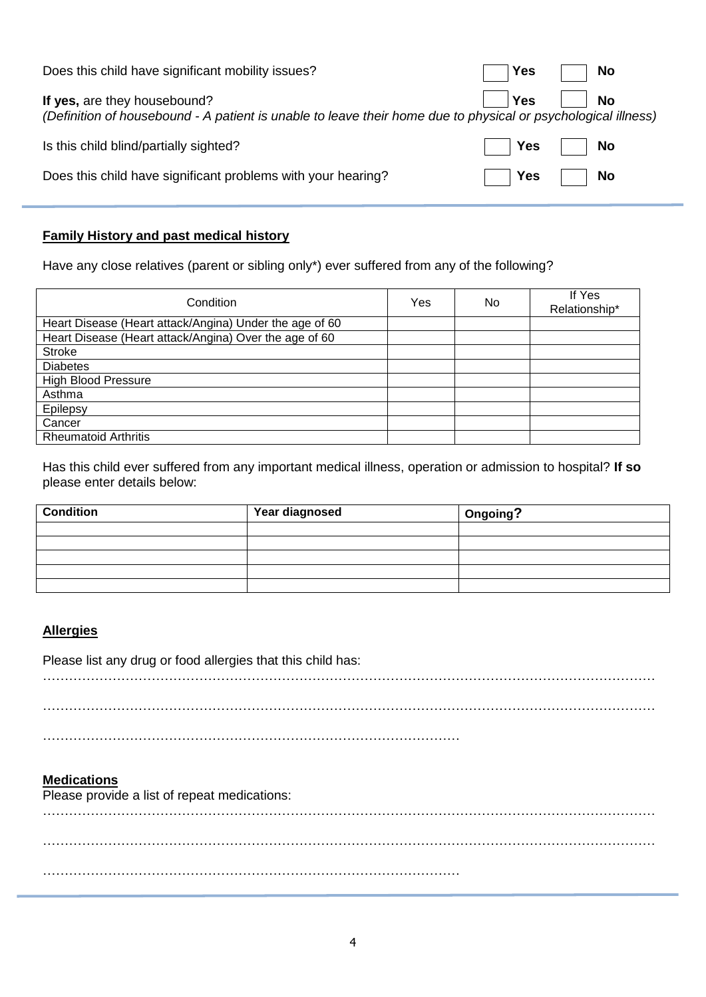| Does this child have significant mobility issues?                                                                                             | Yes                           | No |
|-----------------------------------------------------------------------------------------------------------------------------------------------|-------------------------------|----|
| If yes, are they housebound?<br>(Definition of housebound - A patient is unable to leave their home due to physical or psychological illness) | ∣ Yes                         | No |
| Is this child blind/partially sighted?                                                                                                        | $\mathsf{T}$ Yes $\mathsf{T}$ | No |
| Does this child have significant problems with your hearing?                                                                                  | Yes                           | No |

### **Family History and past medical history**

Have any close relatives (parent or sibling only\*) ever suffered from any of the following?

| Condition                                               | Yes | No. | If Yes<br>Relationship* |
|---------------------------------------------------------|-----|-----|-------------------------|
| Heart Disease (Heart attack/Angina) Under the age of 60 |     |     |                         |
| Heart Disease (Heart attack/Angina) Over the age of 60  |     |     |                         |
| <b>Stroke</b>                                           |     |     |                         |
| <b>Diabetes</b>                                         |     |     |                         |
| <b>High Blood Pressure</b>                              |     |     |                         |
| Asthma                                                  |     |     |                         |
| Epilepsy                                                |     |     |                         |
| Cancer                                                  |     |     |                         |
| <b>Rheumatoid Arthritis</b>                             |     |     |                         |

Has this child ever suffered from any important medical illness, operation or admission to hospital? **If so** please enter details below:

| <b>Condition</b> | Year diagnosed | Ongoing? |
|------------------|----------------|----------|
|                  |                |          |
|                  |                |          |
|                  |                |          |
|                  |                |          |
|                  |                |          |

### **Allergies**

Please list any drug or food allergies that this child has:

……………………………………………………………………………………………………………………………

……………………………………………………………………………………………………………………………

……………………………………………………………………………………

### **Medications**

Please provide a list of repeat medications:

…………………………………………………………………………………………………………………………… …………………………………………………………………………………………………………………………… ……………………………………………………………………………………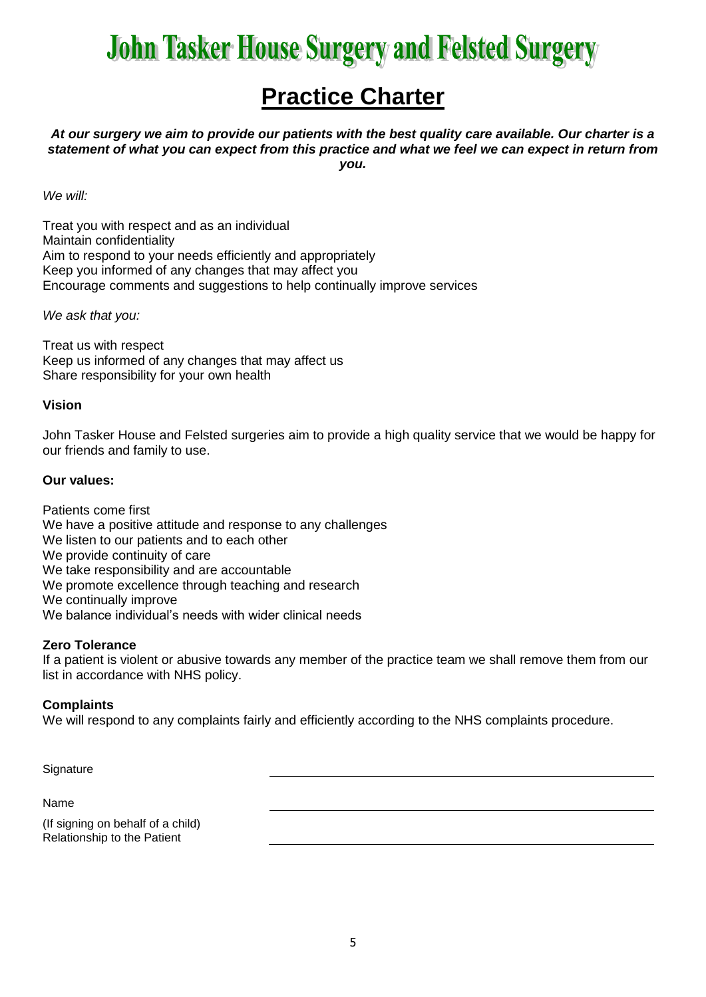# **John Tasker House Surgery and Felsted Surgery**

### **Practice Charter**

*At our surgery we aim to provide our patients with the best quality care available. Our charter is a statement of what you can expect from this practice and what we feel we can expect in return from you.*

*We will:*

Treat you with respect and as an individual Maintain confidentiality Aim to respond to your needs efficiently and appropriately Keep you informed of any changes that may affect you Encourage comments and suggestions to help continually improve services

*We ask that you:*

Treat us with respect Keep us informed of any changes that may affect us Share responsibility for your own health

### **Vision**

John Tasker House and Felsted surgeries aim to provide a high quality service that we would be happy for our friends and family to use.

### **Our values:**

Patients come first We have a positive attitude and response to any challenges We listen to our patients and to each other We provide continuity of care We take responsibility and are accountable We promote excellence through teaching and research We continually improve We balance individual's needs with wider clinical needs

### **Zero Tolerance**

If a patient is violent or abusive towards any member of the practice team we shall remove them from our list in accordance with NHS policy.

### **Complaints**

We will respond to any complaints fairly and efficiently according to the NHS complaints procedure.

**Signature** 

Name

(If signing on behalf of a child) Relationship to the Patient